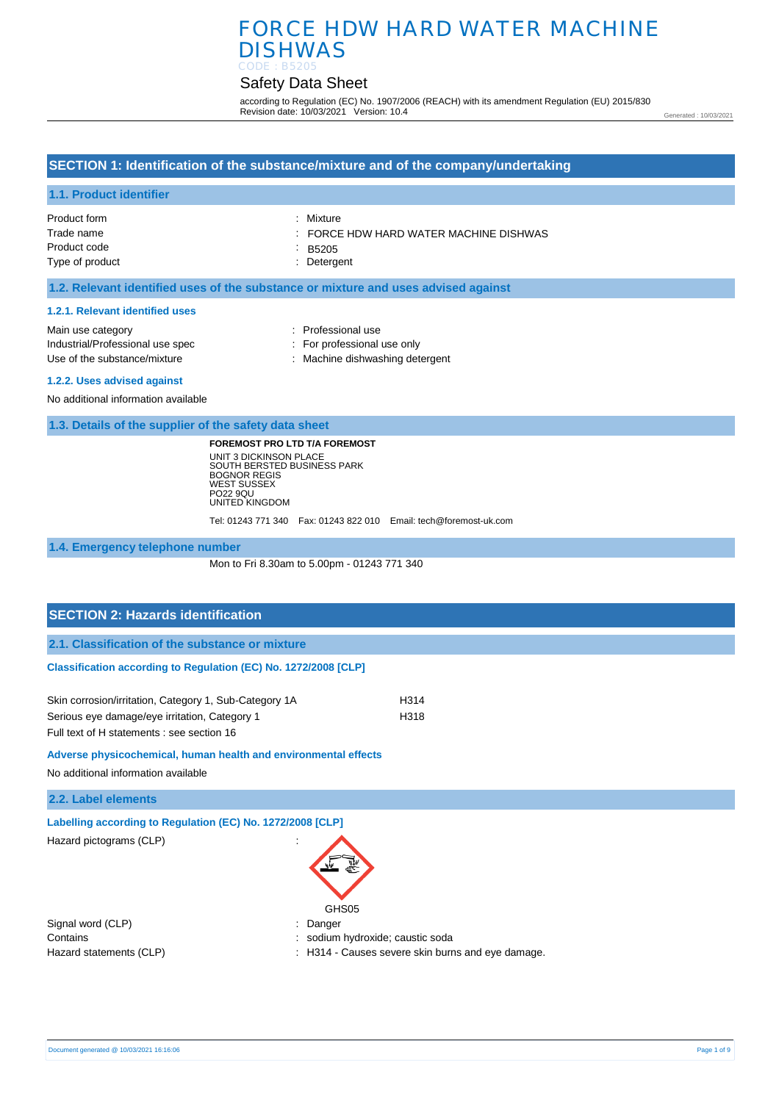# Safety Data Sheet

according to Regulation (EC) No. 1907/2006 (REACH) with its amendment Regulation (EU) 2015/830 Revision date: 10/03/2021 Version: 10.4

Generated : 10/03/2021

## **SECTION 1: Identification of the substance/mixture and of the company/undertaking**

### **1.1. Product identifier**

| Product form    | : Mixture                            |
|-----------------|--------------------------------------|
| Trade name      | FORCE HDW HARD WATER MACHINE DISHWAS |
| Product code    | $-B5205$                             |
| Type of product | : Detergent                          |
|                 |                                      |

## **1.2. Relevant identified uses of the substance or mixture and uses advised against**

#### **1.2.1. Relevant identified uses**

| Main use category                | : Professional use              |
|----------------------------------|---------------------------------|
| Industrial/Professional use spec | : For professional use only     |
| Use of the substance/mixture     | : Machine dishwashing detergent |
| 1.2.2. Uses advised against      |                                 |

No additional information available

**1.3. Details of the supplier of the safety data sheet**

**FOREMOST PRO LTD T/A FOREMOST** UNIT 3 DICKINSON PLACE SOUTH BERSTED BUSINESS PARK BOGNOR REGIS WEST SUSSEX PO22 9QU UNITED KINGDOM

Tel: 01243 771 340 Fax: 01243 822 010 Email: tech@foremost-uk.com

**1.4. Emergency telephone number**

Mon to Fri 8.30am to 5.00pm - 01243 771 340

# **SECTION 2: Hazards identification 2.1. Classification of the substance or mixture Classification according to Regulation (EC) No. 1272/2008 [CLP]** Skin corrosion/irritation, Category 1, Sub-Category 1A H314 Serious eye damage/eye irritation, Category 1 H318 Full text of H statements : see section 16

**Adverse physicochemical, human health and environmental effects** 

No additional information available

**2.2. Label elements**

**Labelling according to Regulation (EC) No. 1272/2008 [CLP]** 

Hazard pictograms (CLP) in the state of the state of the state of the state of the state of the state of the state of the state of the state of the state of the state of the state of the state of the state of the state of

| GHS05 |
|-------|

Signal word (CLP)  $\qquad \qquad$ : Danger

- Contains **Contains Contains Contains Contains Contains Contains Contains Contains Contains Contains Contains Contains Contains Contains Contains Contains Contains Contains Contains Con**
- Hazard statements (CLP)  $\qquad \qquad$ : H314 Causes severe skin burns and eye damage.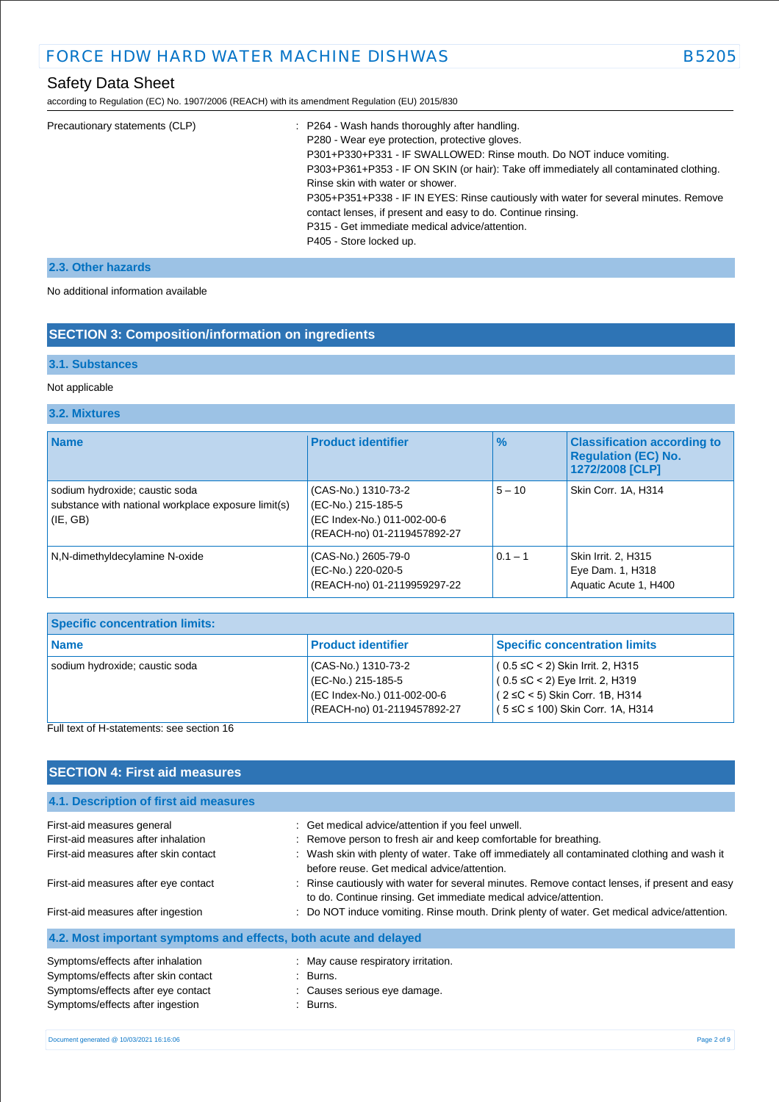# Safety Data Sheet

according to Regulation (EC) No. 1907/2006 (REACH) with its amendment Regulation (EU) 2015/830

| Precautionary statements (CLP) | : P264 - Wash hands thoroughly after handling.                                         |
|--------------------------------|----------------------------------------------------------------------------------------|
|                                | P280 - Wear eye protection, protective gloves.                                         |
|                                | P301+P330+P331 - IF SWALLOWED: Rinse mouth. Do NOT induce vomiting.                    |
|                                | P303+P361+P353 - IF ON SKIN (or hair): Take off immediately all contaminated clothing. |
|                                | Rinse skin with water or shower.                                                       |
|                                | P305+P351+P338 - IF IN EYES: Rinse cautiously with water for several minutes. Remove   |
|                                | contact lenses, if present and easy to do. Continue rinsing.                           |
|                                | P315 - Get immediate medical advice/attention.                                         |
|                                | P405 - Store locked up.                                                                |
|                                |                                                                                        |

## **2.3. Other hazards**

No additional information available

# **SECTION 3: Composition/information on ingredients**

## **3.1. Substances**

## Not applicable

## **3.2. Mixtures**

| <b>Name</b>                                                                                           | <b>Product identifier</b>                                                                               | $\%$      | <b>Classification according to</b><br><b>Regulation (EC) No.</b><br>1272/2008 [CLP] |
|-------------------------------------------------------------------------------------------------------|---------------------------------------------------------------------------------------------------------|-----------|-------------------------------------------------------------------------------------|
| sodium hydroxide; caustic soda<br>substance with national workplace exposure limit(s)<br>$ $ (IE, GB) | (CAS-No.) 1310-73-2<br>(EC-No.) 215-185-5<br>(EC Index-No.) 011-002-00-6<br>(REACH-no) 01-2119457892-27 | $5 - 10$  | Skin Corr. 1A, H314                                                                 |
| N,N-dimethyldecylamine N-oxide                                                                        | (CAS-No.) 2605-79-0<br>(EC-No.) 220-020-5<br>(REACH-no) 01-2119959297-22                                | $0.1 - 1$ | Skin Irrit. 2, H315<br>Eye Dam. 1, H318<br>Aquatic Acute 1, H400                    |

| <b>Specific concentration limits:</b> |                                                                                                         |                                                                                                                                                       |  |  |
|---------------------------------------|---------------------------------------------------------------------------------------------------------|-------------------------------------------------------------------------------------------------------------------------------------------------------|--|--|
| <b>Name</b>                           | <b>Product identifier</b>                                                                               | <b>Specific concentration limits</b>                                                                                                                  |  |  |
| sodium hydroxide; caustic soda        | (CAS-No.) 1310-73-2<br>(EC-No.) 215-185-5<br>(EC Index-No.) 011-002-00-6<br>(REACH-no) 01-2119457892-27 | $(0.5 ≤ C < 2)$ Skin Irrit. 2, H315<br>$(0.5 ≤ C < 2)$ Eye Irrit. 2, H319<br>$(2 ≤ C < 5)$ Skin Corr. 1B, H314<br>$(5 ≤ C ≤ 100)$ Skin Corr. 1A, H314 |  |  |

Full text of H-statements: see section 16

# **SECTION 4: First aid measures**

| 4.1. Description of first aid measures                           |                                                                                                                                                                   |
|------------------------------------------------------------------|-------------------------------------------------------------------------------------------------------------------------------------------------------------------|
| First-aid measures general                                       | : Get medical advice/attention if you feel unwell.                                                                                                                |
| First-aid measures after inhalation                              | : Remove person to fresh air and keep comfortable for breathing.                                                                                                  |
| First-aid measures after skin contact                            | : Wash skin with plenty of water. Take off immediately all contaminated clothing and wash it<br>before reuse. Get medical advice/attention.                       |
| First-aid measures after eye contact                             | : Rinse cautiously with water for several minutes. Remove contact lenses, if present and easy<br>to do. Continue rinsing. Get immediate medical advice/attention. |
| First-aid measures after ingestion                               | : Do NOT induce vomiting. Rinse mouth. Drink plenty of water. Get medical advice/attention.                                                                       |
| 4.2. Most important symptoms and effects, both acute and delayed |                                                                                                                                                                   |
| Symptoms/effects after inhalation                                | : May cause respiratory irritation.                                                                                                                               |
| Symptoms/effects after skin contact                              | : Burns.                                                                                                                                                          |
| Symptoms/effects after eye contact                               | : Causes serious eye damage.                                                                                                                                      |
| Symptoms/effects after ingestion                                 | : Burns.                                                                                                                                                          |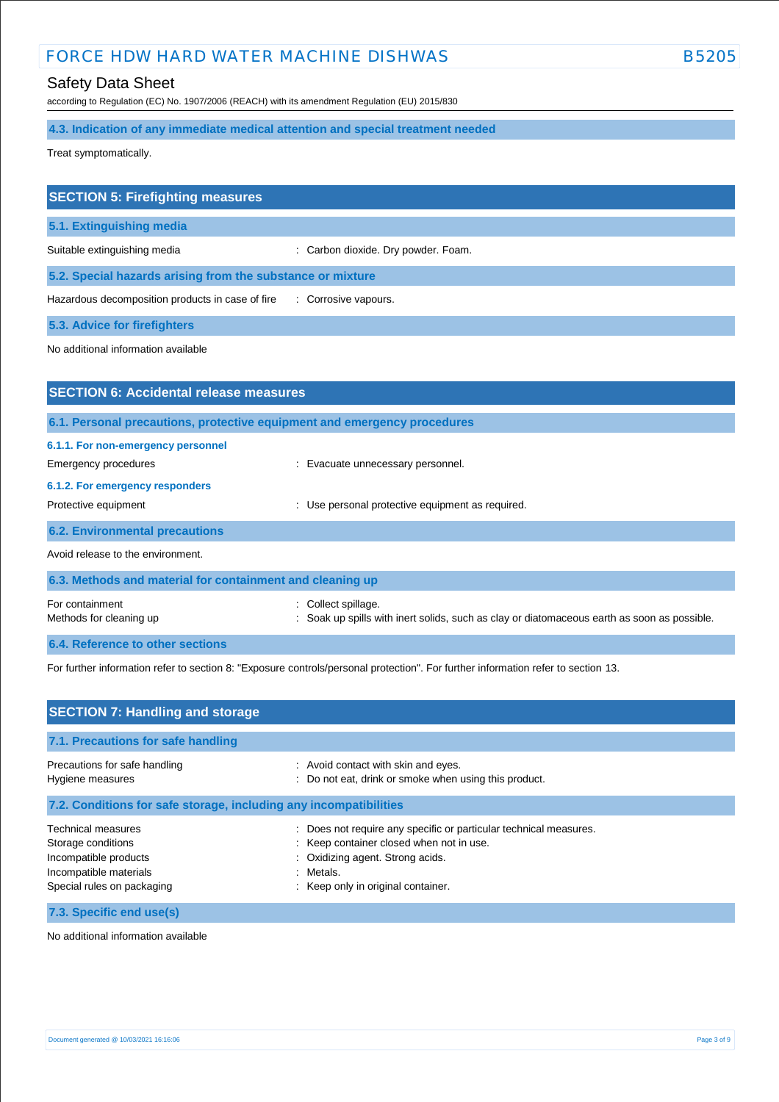## Safety Data Sheet

according to Regulation (EC) No. 1907/2006 (REACH) with its amendment Regulation (EU) 2015/830

# **4.3. Indication of any immediate medical attention and special treatment needed**

Treat symptomatically.

| <b>SECTION 5: Firefighting measures</b>                    |                                     |  |
|------------------------------------------------------------|-------------------------------------|--|
| 5.1. Extinguishing media                                   |                                     |  |
| Suitable extinguishing media                               | : Carbon dioxide. Dry powder. Foam. |  |
| 5.2. Special hazards arising from the substance or mixture |                                     |  |
| Hazardous decomposition products in case of fire           | : Corrosive vapours.                |  |
| <b>5.3. Advice for firefighters</b>                        |                                     |  |

No additional information available

| <b>SECTION 6: Accidental release measures</b>              |                                                                                                                      |  |  |
|------------------------------------------------------------|----------------------------------------------------------------------------------------------------------------------|--|--|
|                                                            | 6.1. Personal precautions, protective equipment and emergency procedures                                             |  |  |
| 6.1.1. For non-emergency personnel<br>Emergency procedures | : Evacuate unnecessary personnel.                                                                                    |  |  |
| 6.1.2. For emergency responders<br>Protective equipment    | Use personal protective equipment as required.                                                                       |  |  |
| <b>6.2. Environmental precautions</b>                      |                                                                                                                      |  |  |
| Avoid release to the environment.                          |                                                                                                                      |  |  |
| 6.3. Methods and material for containment and cleaning up  |                                                                                                                      |  |  |
| For containment<br>Methods for cleaning up                 | Collect spillage.<br>t.<br>Soak up spills with inert solids, such as clay or diatomaceous earth as soon as possible. |  |  |
| 6.4. Reference to other sections                           |                                                                                                                      |  |  |

For further information refer to section 8: "Exposure controls/personal protection". For further information refer to section 13.

| <b>SECTION 7: Handling and storage</b>                                                                                           |                                                                                                                                                                                                      |  |  |
|----------------------------------------------------------------------------------------------------------------------------------|------------------------------------------------------------------------------------------------------------------------------------------------------------------------------------------------------|--|--|
| 7.1. Precautions for safe handling                                                                                               |                                                                                                                                                                                                      |  |  |
| Precautions for safe handling<br>Hygiene measures                                                                                | : Avoid contact with skin and eyes.<br>: Do not eat, drink or smoke when using this product.                                                                                                         |  |  |
| 7.2. Conditions for safe storage, including any incompatibilities                                                                |                                                                                                                                                                                                      |  |  |
| <b>Technical measures</b><br>Storage conditions<br>Incompatible products<br>Incompatible materials<br>Special rules on packaging | : Does not require any specific or particular technical measures.<br>: Keep container closed when not in use.<br>: Oxidizing agent. Strong acids.<br>: Metals.<br>: Keep only in original container. |  |  |
| 7.3. Specific end use(s)                                                                                                         |                                                                                                                                                                                                      |  |  |

No additional information available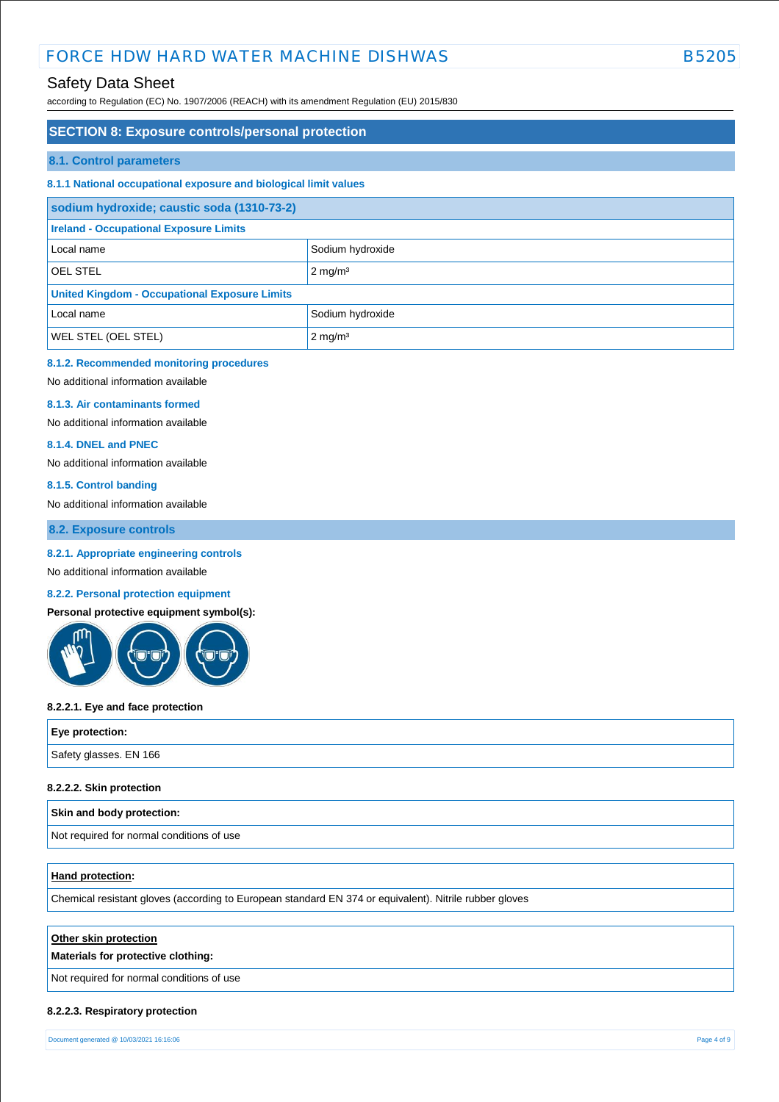## Safety Data Sheet

according to Regulation (EC) No. 1907/2006 (REACH) with its amendment Regulation (EU) 2015/830

# **SECTION 8: Exposure controls/personal protection 8.1. Control parameters 8.1.1 National occupational exposure and biological limit values sodium hydroxide; caustic soda (1310-73-2) Ireland - Occupational Exposure Limits** Local name Sodium hydroxide OEL STEL 2 mg/m<sup>3</sup> **United Kingdom - Occupational Exposure Limits** Local name Sodium hydroxide WEL STEL (OEL STEL) 2 mg/m<sup>3</sup>

### **8.1.2. Recommended monitoring procedures**

No additional information available

#### **8.1.3. Air contaminants formed**

No additional information available

#### **8.1.4. DNEL and PNEC**

No additional information available

#### **8.1.5. Control banding**

No additional information available

**8.2. Exposure controls**

#### **8.2.1. Appropriate engineering controls**

No additional information available

## **8.2.2. Personal protection equipment**

**Personal protective equipment symbol(s):**



#### **8.2.2.1. Eye and face protection**

| Eye protection:        |  |
|------------------------|--|
| Safety glasses. EN 166 |  |
|                        |  |

#### **8.2.2.2. Skin protection**

#### **Skin and body protection:**

Not required for normal conditions of use

### **Hand protection:**

Chemical resistant gloves (according to European standard EN 374 or equivalent). Nitrile rubber gloves

#### **Other skin protection**

#### **Materials for protective clothing:**

Not required for normal conditions of use

#### **8.2.2.3. Respiratory protection**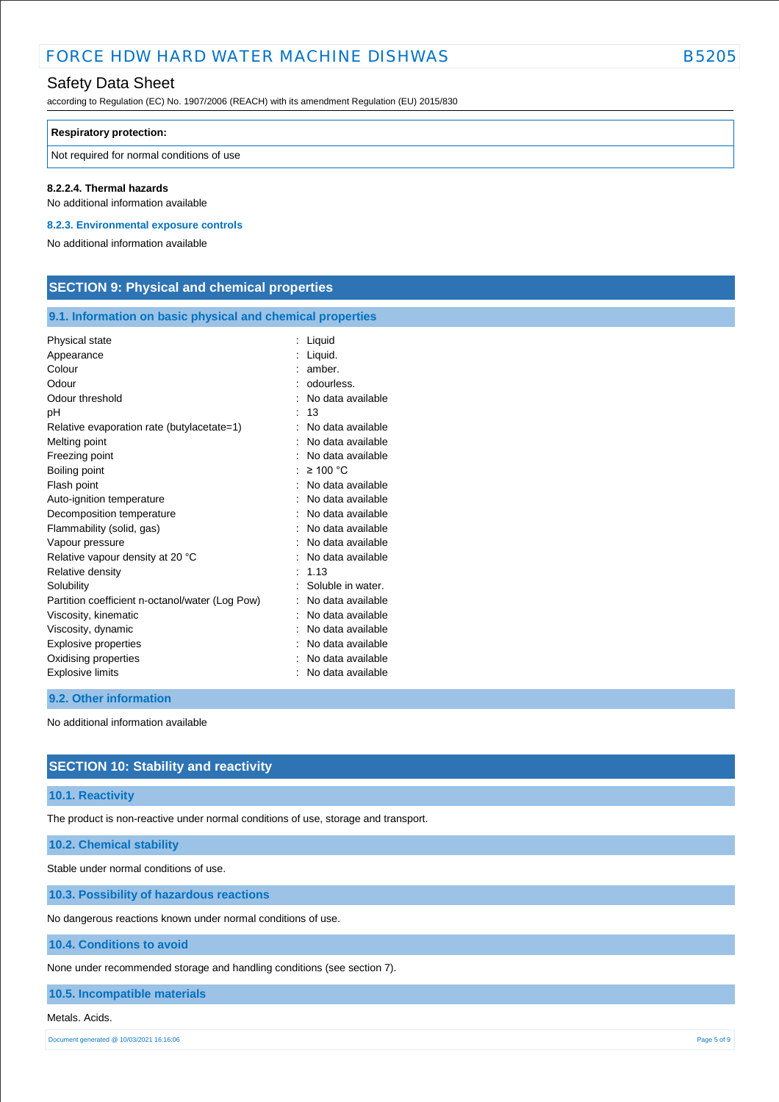## Safety Data Sheet

according to Regulation (EC) No. 1907/2006 (REACH) with its amendment Regulation (EU) 2015/830

#### **Respiratory protection:**

Not required for normal conditions of use

### **8.2.2.4. Thermal hazards**

No additional information available

### **8.2.3. Environmental exposure controls**

No additional information available

# **SECTION 9: Physical and chemical properties**

## **9.1. Information on basic physical and chemical properties**

| Physical state                                  | : Liquid            |
|-------------------------------------------------|---------------------|
| Appearance                                      | : Liquid.           |
| Colour                                          | amber.              |
| Odour                                           | odourless.          |
| Odour threshold                                 | No data available   |
| рH                                              | 13                  |
| Relative evaporation rate (butylacetate=1)      | No data available   |
| Melting point                                   | No data available   |
| Freezing point                                  | No data available   |
| Boiling point                                   | $\geq 100$ °C       |
| Flash point                                     | No data available   |
| Auto-ignition temperature                       | No data available   |
| Decomposition temperature                       | No data available   |
| Flammability (solid, gas)                       | No data available   |
| Vapour pressure                                 | No data available   |
| Relative vapour density at 20 °C                | No data available   |
| Relative density                                | 1.13                |
| Solubility                                      | Soluble in water.   |
| Partition coefficient n-octanol/water (Log Pow) | No data available   |
| Viscosity, kinematic                            | No data available   |
| Viscosity, dynamic                              | No data available   |
| Explosive properties                            | No data available   |
| Oxidising properties                            | No data available   |
| Explosive limits                                | : No data available |

#### **9.2. Other information**

No additional information available

## **SECTION 10: Stability and reactivity**

#### **10.1. Reactivity**

The product is non-reactive under normal conditions of use, storage and transport.

## **10.2. Chemical stability**

Stable under normal conditions of use.

**10.3. Possibility of hazardous reactions**

No dangerous reactions known under normal conditions of use.

### **10.4. Conditions to avoid**

None under recommended storage and handling conditions (see section 7).

## **10.5. Incompatible materials**

#### Metals. Acids.

Document generated @ 10/03/2021 16:16:06 Page 5 of 9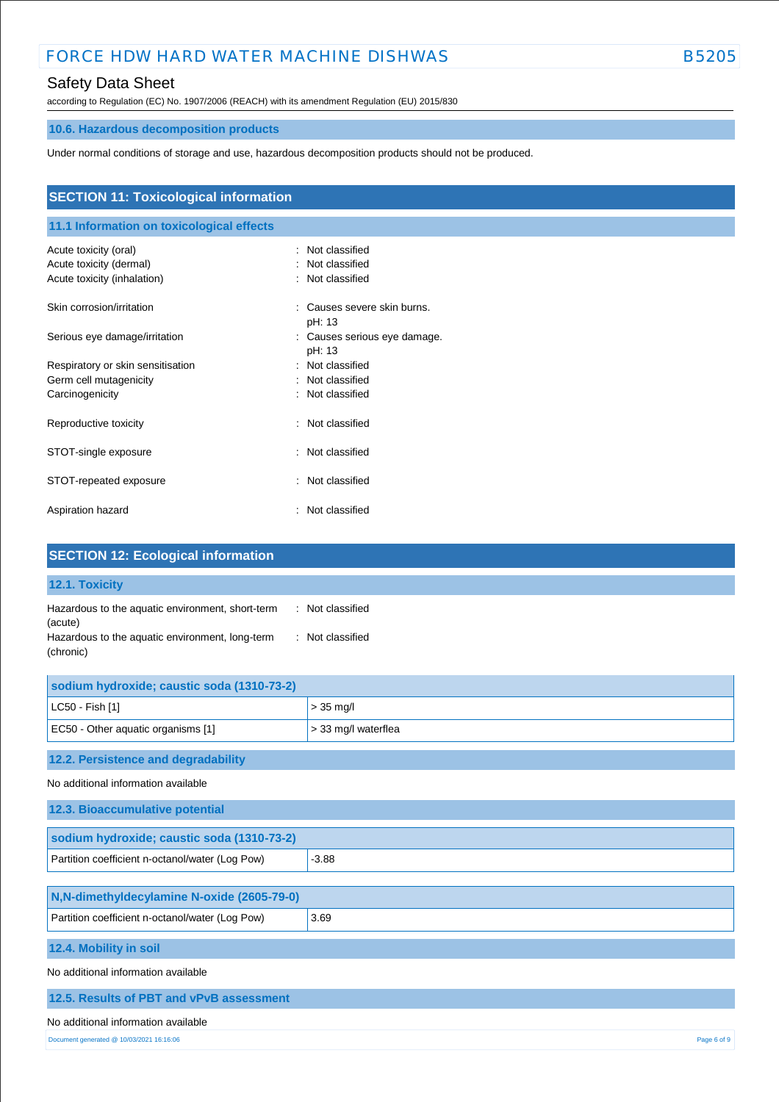# Safety Data Sheet

according to Regulation (EC) No. 1907/2006 (REACH) with its amendment Regulation (EU) 2015/830

# **10.6. Hazardous decomposition products**

Under normal conditions of storage and use, hazardous decomposition products should not be produced.

| <b>SECTION 11: Toxicological information</b> |                                          |  |  |
|----------------------------------------------|------------------------------------------|--|--|
| 11.1 Information on toxicological effects    |                                          |  |  |
| Acute toxicity (oral)                        | Not classified                           |  |  |
| Acute toxicity (dermal)                      | Not classified                           |  |  |
| Acute toxicity (inhalation)                  | : Not classified                         |  |  |
| Skin corrosion/irritation                    | Causes severe skin burns.<br>÷<br>pH: 13 |  |  |
| Serious eye damage/irritation                | : Causes serious eye damage.<br>pH: 13   |  |  |
| Respiratory or skin sensitisation            | : Not classified                         |  |  |
| Germ cell mutagenicity                       | : Not classified                         |  |  |
| Carcinogenicity                              | : Not classified                         |  |  |
| Reproductive toxicity                        | Not classified<br>÷                      |  |  |
| STOT-single exposure                         | : Not classified                         |  |  |
| STOT-repeated exposure                       | Not classified<br>÷                      |  |  |
| Aspiration hazard                            | : Not classified                         |  |  |

| <b>SECTION 12: Ecological information</b>                                                                                   |                                      |  |
|-----------------------------------------------------------------------------------------------------------------------------|--------------------------------------|--|
| 12.1. Toxicity                                                                                                              |                                      |  |
| Hazardous to the aquatic environment, short-term<br>(acute)<br>Hazardous to the aquatic environment, long-term<br>(chronic) | : Not classified<br>: Not classified |  |
| sodium hydroxide; caustic soda (1310-73-2)                                                                                  |                                      |  |
| LC50 - Fish [1]                                                                                                             | $> 35$ mg/l                          |  |
| EC50 - Other aquatic organisms [1]                                                                                          | > 33 mg/l waterflea                  |  |
| 12.2. Persistence and degradability                                                                                         |                                      |  |
| No additional information available                                                                                         |                                      |  |
| 12.3. Bioaccumulative potential                                                                                             |                                      |  |
| sodium hydroxide; caustic soda (1310-73-2)                                                                                  |                                      |  |
| Partition coefficient n-octanol/water (Log Pow)                                                                             | $-3.88$                              |  |
| N,N-dimethyldecylamine N-oxide (2605-79-0)                                                                                  |                                      |  |
| Partition coefficient n-octanol/water (Log Pow)                                                                             | 3.69                                 |  |
| 12.4. Mobility in soil                                                                                                      |                                      |  |
| No additional information available                                                                                         |                                      |  |
| 12.5. Results of PBT and vPvB assessment                                                                                    |                                      |  |
| No additional information available                                                                                         |                                      |  |
| Document generated @ 10/03/2021 16:16:06                                                                                    | Page 6 of 9                          |  |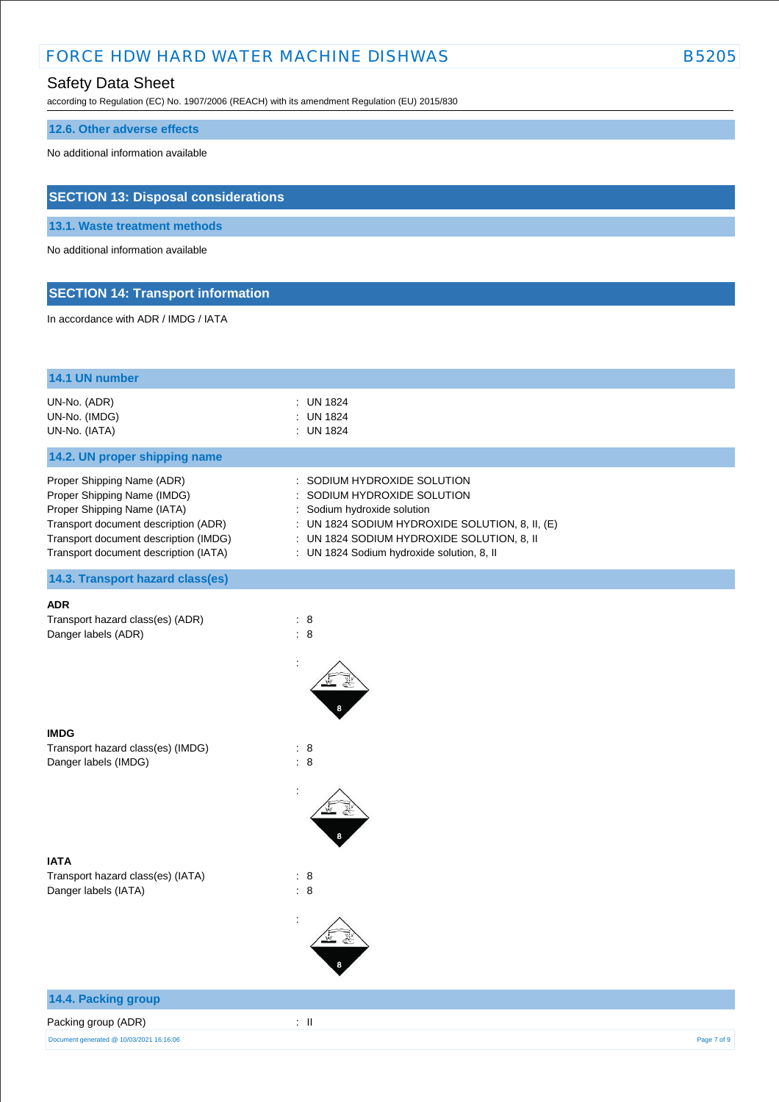## Safety Data Sheet

according to Regulation (EC) No. 1907/2006 (REACH) with its amendment Regulation (EU) 2015/830

# **12.6. Other adverse effects**

No additional information available

# **SECTION 13: Disposal considerations**

**13.1. Waste treatment methods**

No additional information available

# **SECTION 14: Transport information**

In accordance with ADR / IMDG / IATA

| 14.1 UN number                                                                                                                                                                                                     |                                                                                                                                                                                                                                      |             |
|--------------------------------------------------------------------------------------------------------------------------------------------------------------------------------------------------------------------|--------------------------------------------------------------------------------------------------------------------------------------------------------------------------------------------------------------------------------------|-------------|
| UN-No. (ADR)<br>UN-No. (IMDG)<br>UN-No. (IATA)                                                                                                                                                                     | : UN 1824<br><b>UN 1824</b><br>۰<br>: UN 1824                                                                                                                                                                                        |             |
| 14.2. UN proper shipping name                                                                                                                                                                                      |                                                                                                                                                                                                                                      |             |
| Proper Shipping Name (ADR)<br>Proper Shipping Name (IMDG)<br>Proper Shipping Name (IATA)<br>Transport document description (ADR)<br>Transport document description (IMDG)<br>Transport document description (IATA) | SODIUM HYDROXIDE SOLUTION<br>SODIUM HYDROXIDE SOLUTION<br>: Sodium hydroxide solution<br>: UN 1824 SODIUM HYDROXIDE SOLUTION, 8, II, (E)<br>: UN 1824 SODIUM HYDROXIDE SOLUTION, 8, II<br>: UN 1824 Sodium hydroxide solution, 8, II |             |
| 14.3. Transport hazard class(es)                                                                                                                                                                                   |                                                                                                                                                                                                                                      |             |
| <b>ADR</b><br>Transport hazard class(es) (ADR)<br>Danger labels (ADR)                                                                                                                                              | : 8<br>: 8                                                                                                                                                                                                                           |             |
| <b>IMDG</b><br>Transport hazard class(es) (IMDG)<br>Danger labels (IMDG)                                                                                                                                           | : 8<br>: 8                                                                                                                                                                                                                           |             |
|                                                                                                                                                                                                                    |                                                                                                                                                                                                                                      |             |
| <b>IATA</b><br>Transport hazard class(es) (IATA)<br>Danger labels (IATA)                                                                                                                                           | $\therefore$ 8<br>: 8                                                                                                                                                                                                                |             |
|                                                                                                                                                                                                                    |                                                                                                                                                                                                                                      |             |
| 14.4. Packing group                                                                                                                                                                                                |                                                                                                                                                                                                                                      |             |
| Packing group (ADR)                                                                                                                                                                                                | $\lesssim 11$                                                                                                                                                                                                                        |             |
| Document generated @ 10/03/2021 16:16:06                                                                                                                                                                           |                                                                                                                                                                                                                                      | Page 7 of 9 |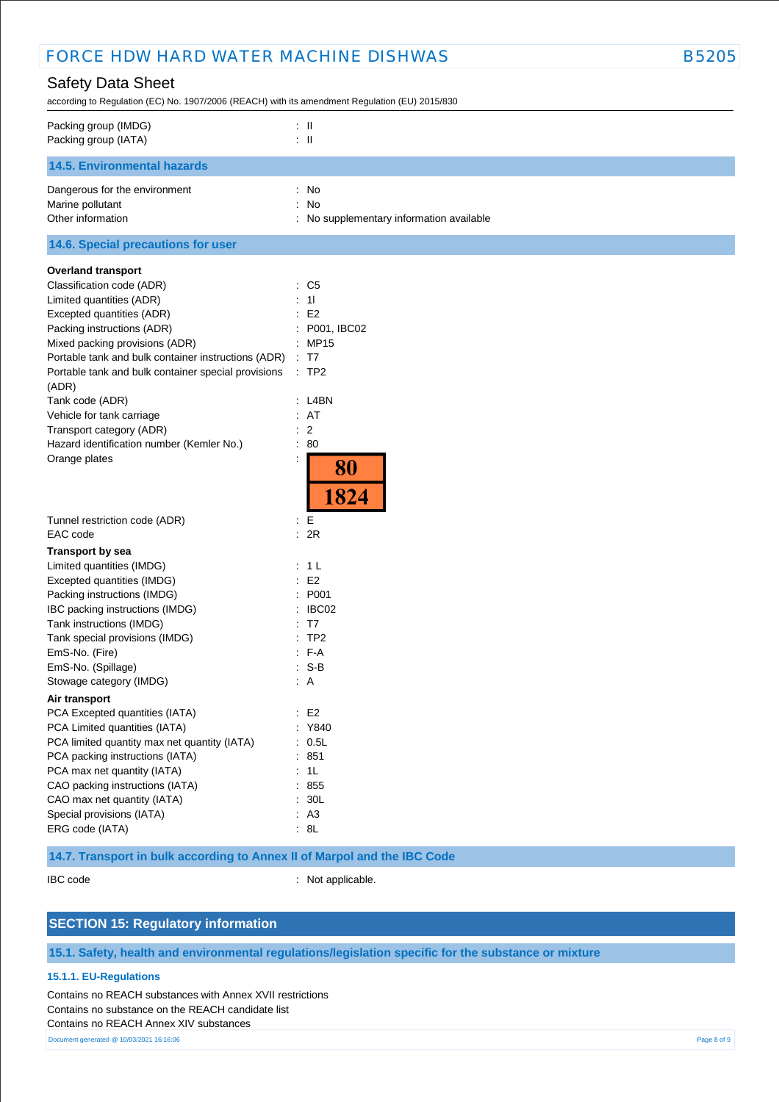# Safety Data Sheet

according to Regulation (EC) No. 1907/2006 (REACH) with its amendment Regulation (EU) 2015/830

| Packing group (IMDG)<br>Packing group (IATA) | $\pm$ 11<br>$\mathbb{Z}$ $\mathbb{H}$    |
|----------------------------------------------|------------------------------------------|
| <b>14.5. Environmental hazards</b>           |                                          |
| Dangerous for the environment                | $:$ No                                   |
| Marine pollutant                             | : No                                     |
| Other information                            | : No supplementary information available |
| 14.6. Special precautions for user           |                                          |
| <b>Overland transport</b>                    |                                          |
| Classification code (ADR)                    | $\therefore$ C5                          |
| Limited quantities (ADR)                     | : 11                                     |
| Excepted quantities (ADR)                    | E2                                       |

| Tunnel restriction code (ADR)                |    | : E            |
|----------------------------------------------|----|----------------|
| EAC code                                     |    | 2R             |
| <b>Transport by sea</b>                      |    |                |
| Limited quantities (IMDG)                    | ÷. | 1 <sub>L</sub> |
| Excepted quantities (IMDG)                   |    | E2             |
| Packing instructions (IMDG)                  |    | : P001         |
| IBC packing instructions (IMDG)              |    | IBC02          |
| Tank instructions (IMDG)                     | t. | T7             |
| Tank special provisions (IMDG)               |    | $:$ TP2        |
| EmS-No. (Fire)                               |    | $F-A$          |
| EmS-No. (Spillage)                           |    | : S-B          |
| Stowage category (IMDG)                      |    | : A            |
| Air transport                                |    |                |
| PCA Excepted quantities (IATA)               |    | E <sub>2</sub> |
| PCA Limited quantities (IATA)                |    | Y840           |
| PCA limited quantity max net quantity (IATA) | ۰. | 0.5L           |
| PCA packing instructions (IATA)              |    | 851            |
| PCA max net quantity (IATA)                  |    | 1L             |
| CAO packing instructions (IATA)              |    | 855            |
| CAO max net quantity (IATA)                  |    | : 30L          |
| Special provisions (IATA)                    |    | A <sub>3</sub> |
| ERG code (IATA)                              |    | : 8L           |

Packing instructions (ADR) : P001, IBC02 Mixed packing provisions (ADR) : MP15 Portable tank and bulk container instructions (ADR) : T7 Portable tank and bulk container special provisions : TP2

Tank code (ADR) : L4BN : L4BN Vehicle for tank carriage  $\cdot$  AT Transport category (ADR)  $\qquad \qquad$  : 2 Hazard identification number (Kemler No.) : 80 Orange plates in the state of the state of the state of the state of the state of the state of the state of the state of the state of the state of the state of the state of the state of the state of the state of the state

## **14.7. Transport in bulk according to Annex II of Marpol and the IBC Code**

(ADR)

IBC code : Not applicable.

80

1824

## **SECTION 15: Regulatory information**

**15.1. Safety, health and environmental regulations/legislation specific for the substance or mixture**

#### **15.1.1. EU-Regulations**

Contains no REACH substances with Annex XVII restrictions Contains no substance on the REACH candidate list Contains no REACH Annex XIV substances